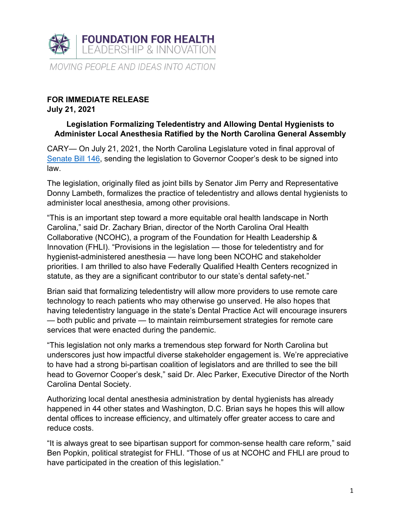

## **FOR IMMEDIATE RELEASE July 21, 2021**

## **Legislation Formalizing Teledentistry and Allowing Dental Hygienists to Administer Local Anesthesia Ratified by the North Carolina General Assembly**

CARY— On July 21, 2021, the North Carolina Legislature voted in final approval of Senate Bill 146, sending the legislation to Governor Cooper's desk to be signed into law.

The legislation, originally filed as joint bills by Senator Jim Perry and Representative Donny Lambeth, formalizes the practice of teledentistry and allows dental hygienists to administer local anesthesia, among other provisions.

"This is an important step toward a more equitable oral health landscape in North Carolina," said Dr. Zachary Brian, director of the North Carolina Oral Health Collaborative (NCOHC), a program of the Foundation for Health Leadership & Innovation (FHLI). "Provisions in the legislation — those for teledentistry and for hygienist-administered anesthesia — have long been NCOHC and stakeholder priorities. I am thrilled to also have Federally Qualified Health Centers recognized in statute, as they are a significant contributor to our state's dental safety-net."

Brian said that formalizing teledentistry will allow more providers to use remote care technology to reach patients who may otherwise go unserved. He also hopes that having teledentistry language in the state's Dental Practice Act will encourage insurers — both public and private — to maintain reimbursement strategies for remote care services that were enacted during the pandemic.

"This legislation not only marks a tremendous step forward for North Carolina but underscores just how impactful diverse stakeholder engagement is. We're appreciative to have had a strong bi-partisan coalition of legislators and are thrilled to see the bill head to Governor Cooper's desk," said Dr. Alec Parker, Executive Director of the North Carolina Dental Society.

Authorizing local dental anesthesia administration by dental hygienists has already happened in 44 other states and Washington, D.C. Brian says he hopes this will allow dental offices to increase efficiency, and ultimately offer greater access to care and reduce costs.

"It is always great to see bipartisan support for common-sense health care reform," said Ben Popkin, political strategist for FHLI. "Those of us at NCOHC and FHLI are proud to have participated in the creation of this legislation."